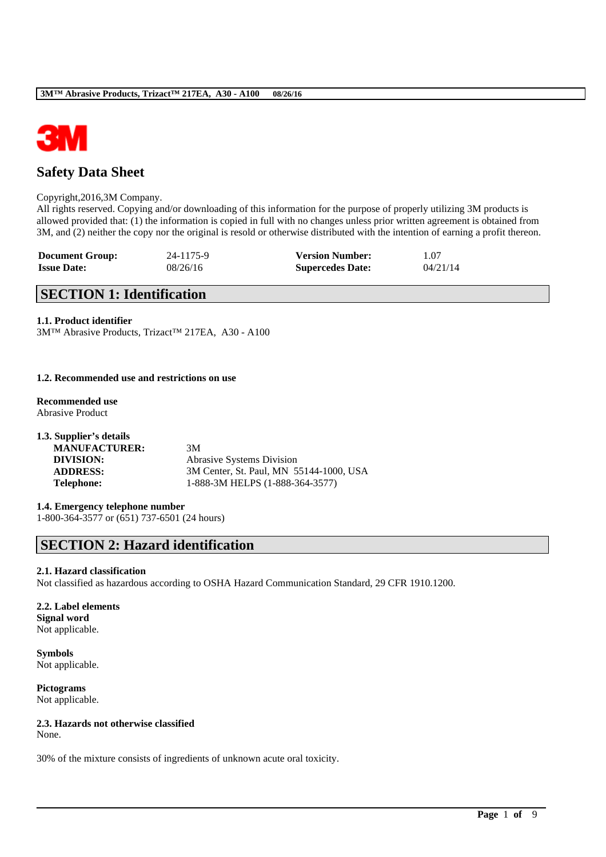

# **Safety Data Sheet**

#### Copyright,2016,3M Company.

All rights reserved. Copying and/or downloading of this information for the purpose of properly utilizing 3M products is allowed provided that: (1) the information is copied in full with no changes unless prior written agreement is obtained from 3M, and (2) neither the copy nor the original is resold or otherwise distributed with the intention of earning a profit thereon.

| <b>Document Group:</b> | 24-1175-9 | <b>Version Number:</b>  | 1.07     |
|------------------------|-----------|-------------------------|----------|
| <b>Issue Date:</b>     | 08/26/16  | <b>Supercedes Date:</b> | 04/21/14 |

# **SECTION 1: Identification**

### **1.1. Product identifier**

3M™ Abrasive Products, Trizact™ 217EA, A30 - A100

### **1.2. Recommended use and restrictions on use**

**Recommended use** Abrasive Product

| 1.3. Supplier's details |                                         |
|-------------------------|-----------------------------------------|
| <b>MANUFACTURER:</b>    | 3M                                      |
| DIVISION:               | Abrasive Systems Division               |
| <b>ADDRESS:</b>         | 3M Center, St. Paul, MN 55144-1000, USA |
| <b>Telephone:</b>       | 1-888-3M HELPS (1-888-364-3577)         |

# **1.4. Emergency telephone number**

1-800-364-3577 or (651) 737-6501 (24 hours)

# **SECTION 2: Hazard identification**

#### **2.1. Hazard classification**

Not classified as hazardous according to OSHA Hazard Communication Standard, 29 CFR 1910.1200.

\_\_\_\_\_\_\_\_\_\_\_\_\_\_\_\_\_\_\_\_\_\_\_\_\_\_\_\_\_\_\_\_\_\_\_\_\_\_\_\_\_\_\_\_\_\_\_\_\_\_\_\_\_\_\_\_\_\_\_\_\_\_\_\_\_\_\_\_\_\_\_\_\_\_\_\_\_\_\_\_\_\_\_\_\_\_\_\_\_\_

### **2.2. Label elements Signal word** Not applicable.

**Symbols** Not applicable.

**Pictograms** Not applicable.

# **2.3. Hazards not otherwise classified**

None.

30% of the mixture consists of ingredients of unknown acute oral toxicity.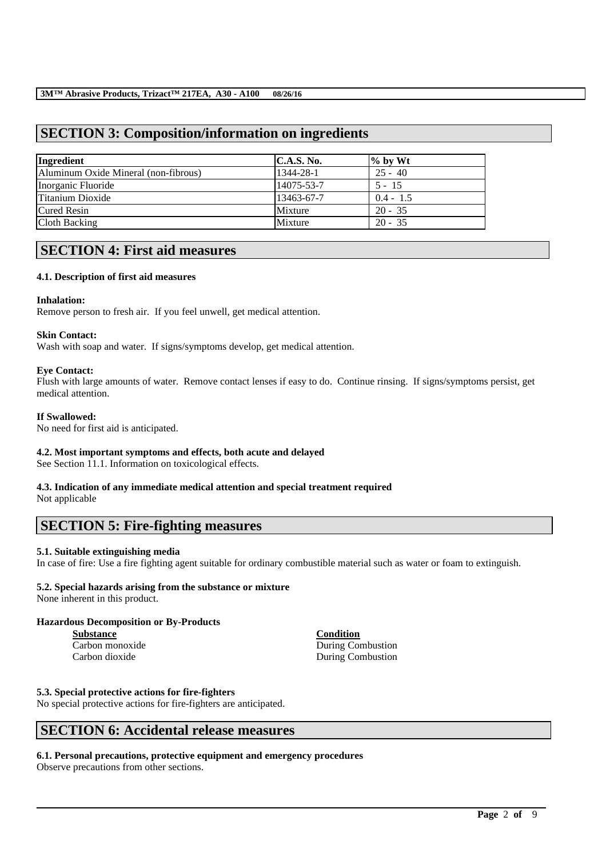# **SECTION 3: Composition/information on ingredients**

| Ingredient                           | C.A.S. No. | $\%$ by Wt  |
|--------------------------------------|------------|-------------|
| Aluminum Oxide Mineral (non-fibrous) | 1344-28-1  | $25 - 40$   |
| Inorganic Fluoride                   | 14075-53-7 | $5 - 15$    |
| Titanium Dioxide                     | 13463-67-7 | $0.4 - 1.5$ |
| <b>Cured Resin</b>                   | Mixture    | $20 - 35$   |
| Cloth Backing                        | Mixture    | $20 - 35$   |

# **SECTION 4: First aid measures**

### **4.1. Description of first aid measures**

### **Inhalation:**

Remove person to fresh air. If you feel unwell, get medical attention.

### **Skin Contact:**

Wash with soap and water. If signs/symptoms develop, get medical attention.

### **Eye Contact:**

Flush with large amounts of water. Remove contact lenses if easy to do. Continue rinsing. If signs/symptoms persist, get medical attention.

### **If Swallowed:**

No need for first aid is anticipated.

# **4.2. Most important symptoms and effects, both acute and delayed**

See Section 11.1. Information on toxicological effects.

#### **4.3. Indication of any immediate medical attention and special treatment required** Not applicable

# **SECTION 5: Fire-fighting measures**

# **5.1. Suitable extinguishing media**

In case of fire: Use a fire fighting agent suitable for ordinary combustible material such as water or foam to extinguish.

\_\_\_\_\_\_\_\_\_\_\_\_\_\_\_\_\_\_\_\_\_\_\_\_\_\_\_\_\_\_\_\_\_\_\_\_\_\_\_\_\_\_\_\_\_\_\_\_\_\_\_\_\_\_\_\_\_\_\_\_\_\_\_\_\_\_\_\_\_\_\_\_\_\_\_\_\_\_\_\_\_\_\_\_\_\_\_\_\_\_

# **5.2. Special hazards arising from the substance or mixture**

None inherent in this product.

### **Hazardous Decomposition or By-Products**

**Substance Condition** Carbon dioxide During Combustion

Carbon monoxide During Combustion

#### **5.3. Special protective actions for fire-fighters**

No special protective actions for fire-fighters are anticipated.

# **SECTION 6: Accidental release measures**

### **6.1. Personal precautions, protective equipment and emergency procedures**

Observe precautions from other sections.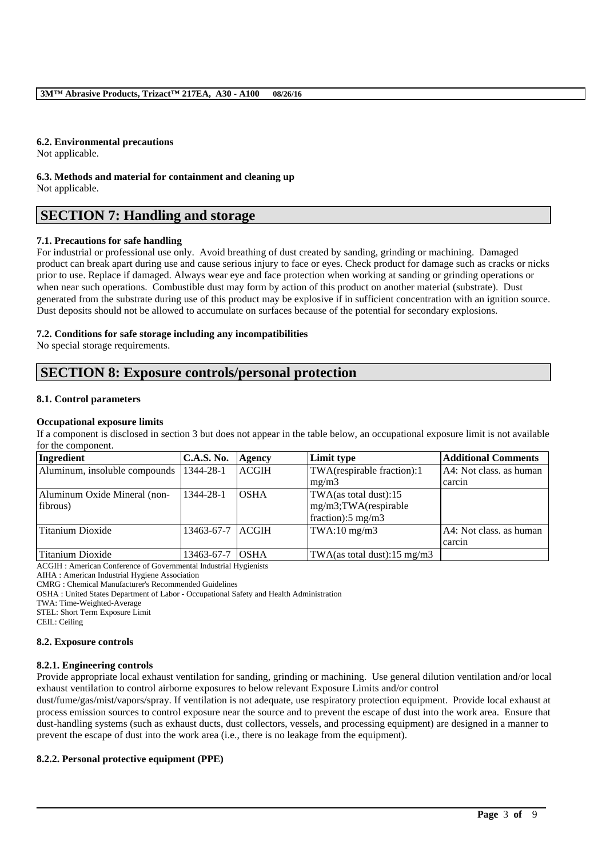# **6.2. Environmental precautions**

Not applicable.

**6.3. Methods and material for containment and cleaning up** Not applicable.

# **SECTION 7: Handling and storage**

# **7.1. Precautions for safe handling**

For industrial or professional use only. Avoid breathing of dust created by sanding, grinding or machining. Damaged product can break apart during use and cause serious injury to face or eyes. Check product for damage such as cracks or nicks prior to use. Replace if damaged. Always wear eye and face protection when working at sanding or grinding operations or when near such operations. Combustible dust may form by action of this product on another material (substrate). Dust generated from the substrate during use of this product may be explosive if in sufficient concentration with an ignition source. Dust deposits should not be allowed to accumulate on surfaces because of the potential for secondary explosions.

# **7.2. Conditions for safe storage including any incompatibilities**

No special storage requirements.

# **SECTION 8: Exposure controls/personal protection**

# **8.1. Control parameters**

# **Occupational exposure limits**

If a component is disclosed in section 3 but does not appear in the table below, an occupational exposure limit is not available for the component.

| Ingredient                    | <b>C.A.S. No.</b> | Agency       | Limit type                              | <b>Additional Comments</b> |
|-------------------------------|-------------------|--------------|-----------------------------------------|----------------------------|
| Aluminum, insoluble compounds | 1344-28-1         | <b>ACGIH</b> | TWA(respirable fraction):1              | A4: Not class, as human    |
|                               |                   |              | mg/m3                                   | carcin                     |
| Aluminum Oxide Mineral (non-  | 1344-28-1         | <b>OSHA</b>  | TWA(as total dust):15                   |                            |
| fibrous)                      |                   |              | mg/m3;TWA(respirable                    |                            |
|                               |                   |              | fraction): $5 \text{ mg/m}$ 3           |                            |
| Titanium Dioxide              | 13463-67-7 ACGIH  |              | $TWA:10$ mg/m $3$                       | A4: Not class. as human    |
|                               |                   |              |                                         | carcin                     |
| Titanium Dioxide              | 13463-67-7 OSHA   |              | TWA(as total dust): $15 \text{ mg/m}$ 3 |                            |

ACGIH : American Conference of Governmental Industrial Hygienists

AIHA : American Industrial Hygiene Association

CMRG : Chemical Manufacturer's Recommended Guidelines

OSHA : United States Department of Labor - Occupational Safety and Health Administration

TWA: Time-Weighted-Average

STEL: Short Term Exposure Limit

CEIL: Ceiling

# **8.2. Exposure controls**

### **8.2.1. Engineering controls**

Provide appropriate local exhaust ventilation for sanding, grinding or machining. Use general dilution ventilation and/or local exhaust ventilation to control airborne exposures to below relevant Exposure Limits and/or control

dust/fume/gas/mist/vapors/spray. If ventilation is not adequate, use respiratory protection equipment. Provide local exhaust at process emission sources to control exposure near the source and to prevent the escape of dust into the work area. Ensure that dust-handling systems (such as exhaust ducts, dust collectors, vessels, and processing equipment) are designed in a manner to prevent the escape of dust into the work area (i.e., there is no leakage from the equipment).

\_\_\_\_\_\_\_\_\_\_\_\_\_\_\_\_\_\_\_\_\_\_\_\_\_\_\_\_\_\_\_\_\_\_\_\_\_\_\_\_\_\_\_\_\_\_\_\_\_\_\_\_\_\_\_\_\_\_\_\_\_\_\_\_\_\_\_\_\_\_\_\_\_\_\_\_\_\_\_\_\_\_\_\_\_\_\_\_\_\_

### **8.2.2. Personal protective equipment (PPE)**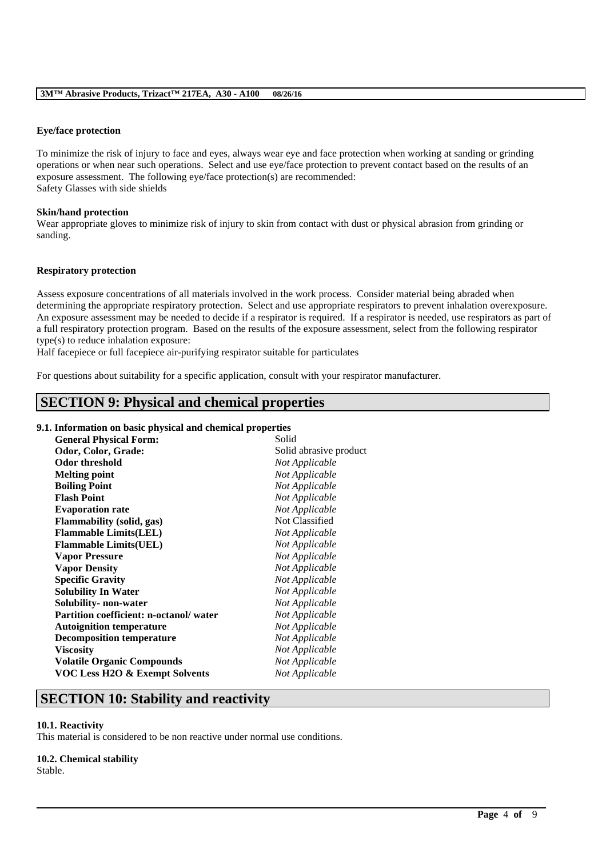### **Eye/face protection**

To minimize the risk of injury to face and eyes, always wear eye and face protection when working at sanding or grinding operations or when near such operations. Select and use eye/face protection to prevent contact based on the results of an exposure assessment. The following eye/face protection(s) are recommended: Safety Glasses with side shields

### **Skin/hand protection**

Wear appropriate gloves to minimize risk of injury to skin from contact with dust or physical abrasion from grinding or sanding.

#### **Respiratory protection**

Assess exposure concentrations of all materials involved in the work process. Consider material being abraded when determining the appropriate respiratory protection. Select and use appropriate respirators to prevent inhalation overexposure. An exposure assessment may be needed to decide if a respirator is required. If a respirator is needed, use respirators as part of a full respiratory protection program. Based on the results of the exposure assessment, select from the following respirator type(s) to reduce inhalation exposure:

\_\_\_\_\_\_\_\_\_\_\_\_\_\_\_\_\_\_\_\_\_\_\_\_\_\_\_\_\_\_\_\_\_\_\_\_\_\_\_\_\_\_\_\_\_\_\_\_\_\_\_\_\_\_\_\_\_\_\_\_\_\_\_\_\_\_\_\_\_\_\_\_\_\_\_\_\_\_\_\_\_\_\_\_\_\_\_\_\_\_

Half facepiece or full facepiece air-purifying respirator suitable for particulates

For questions about suitability for a specific application, consult with your respirator manufacturer.

# **SECTION 9: Physical and chemical properties**

### **9.1. Information on basic physical and chemical properties**

| <b>General Physical Form:</b>             | Solid                  |
|-------------------------------------------|------------------------|
| Odor, Color, Grade:                       | Solid abrasive product |
| Odor threshold                            | Not Applicable         |
| <b>Melting point</b>                      | Not Applicable         |
| <b>Boiling Point</b>                      | Not Applicable         |
| <b>Flash Point</b>                        | Not Applicable         |
| <b>Evaporation rate</b>                   | Not Applicable         |
| <b>Flammability (solid, gas)</b>          | Not Classified         |
| <b>Flammable Limits(LEL)</b>              | Not Applicable         |
| <b>Flammable Limits(UEL)</b>              | Not Applicable         |
| <b>Vapor Pressure</b>                     | Not Applicable         |
| <b>Vapor Density</b>                      | Not Applicable         |
| <b>Specific Gravity</b>                   | Not Applicable         |
| <b>Solubility In Water</b>                | Not Applicable         |
| Solubility- non-water                     | Not Applicable         |
| Partition coefficient: n-octanol/water    | Not Applicable         |
| <b>Autoignition temperature</b>           | Not Applicable         |
| <b>Decomposition temperature</b>          | Not Applicable         |
| <b>Viscosity</b>                          | Not Applicable         |
| <b>Volatile Organic Compounds</b>         | Not Applicable         |
| <b>VOC Less H2O &amp; Exempt Solvents</b> | Not Applicable         |
|                                           |                        |

# **SECTION 10: Stability and reactivity**

#### **10.1. Reactivity**

This material is considered to be non reactive under normal use conditions.

#### **10.2. Chemical stability**

Stable.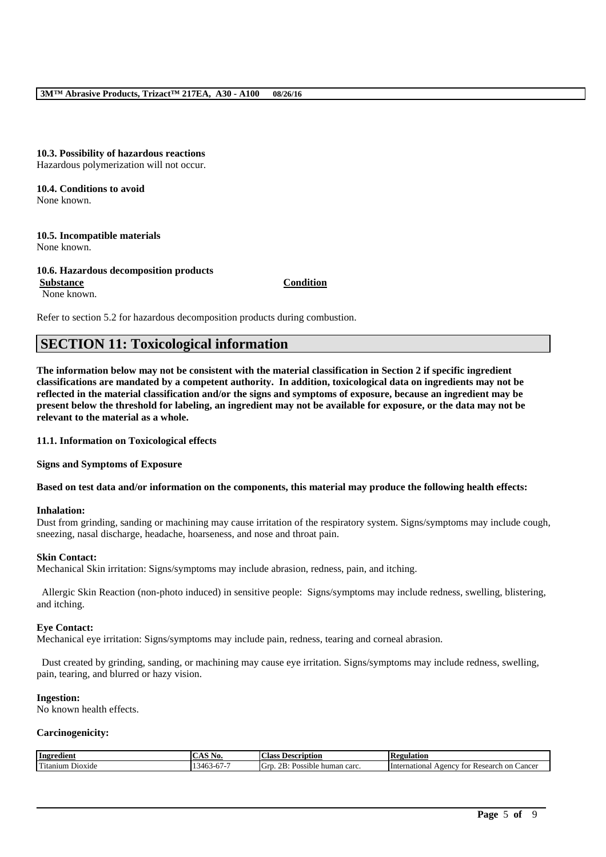#### **3M™ Abrasive Products, Trizact™ 217EA, A30 - A100 08/26/16**

**10.3. Possibility of hazardous reactions** Hazardous polymerization will not occur.

**10.4. Conditions to avoid** None known.

**10.5. Incompatible materials** None known.

**10.6. Hazardous decomposition products Substance Condition** None known.

Refer to section 5.2 for hazardous decomposition products during combustion.

# **SECTION 11: Toxicological information**

**The information below may not be consistent with the material classification in Section 2 if specific ingredient classifications are mandated by a competent authority. In addition, toxicological data on ingredients may not be reflected in the material classification and/or the signs and symptoms of exposure, because an ingredient may be present below the threshold for labeling, an ingredient may not be available for exposure, or the data may not be relevant to the material as a whole.**

**11.1. Information on Toxicological effects**

**Signs and Symptoms of Exposure**

**Based on test data and/or information on the components, this material may produce the following health effects:**

#### **Inhalation:**

Dust from grinding, sanding or machining may cause irritation of the respiratory system. Signs/symptoms may include cough, sneezing, nasal discharge, headache, hoarseness, and nose and throat pain.

#### **Skin Contact:**

Mechanical Skin irritation: Signs/symptoms may include abrasion, redness, pain, and itching.

Allergic Skin Reaction (non-photo induced) in sensitive people: Signs/symptoms may include redness, swelling, blistering, and itching.

#### **Eye Contact:**

Mechanical eye irritation: Signs/symptoms may include pain, redness, tearing and corneal abrasion.

Dust created by grinding, sanding, or machining may cause eye irritation. Signs/symptoms may include redness, swelling, pain, tearing, and blurred or hazy vision.

#### **Ingestion:**

No known health effects.

### **Carcinogenicity:**

| Ingredient                                                  | $  -$                                   | <b>Class</b>                                                               | ם י                                                                  |
|-------------------------------------------------------------|-----------------------------------------|----------------------------------------------------------------------------|----------------------------------------------------------------------|
|                                                             | NU                                      | Jescription                                                                | 'egulation                                                           |
| rent for<br>$D$ <sub>10</sub> x <sub>1</sub> de<br>'itanıum | $-$<br>--<br>$\sim$<br>-345<br>0/7<br>T | $\sim$<br>OR.<br>$\sqrt{ }$<br>~rت.<br>$^{\prime}$<br>sible<br>human carc. | Cancer<br>: Research<br>International<br>on<br>$A$ gency<br>tor<br>. |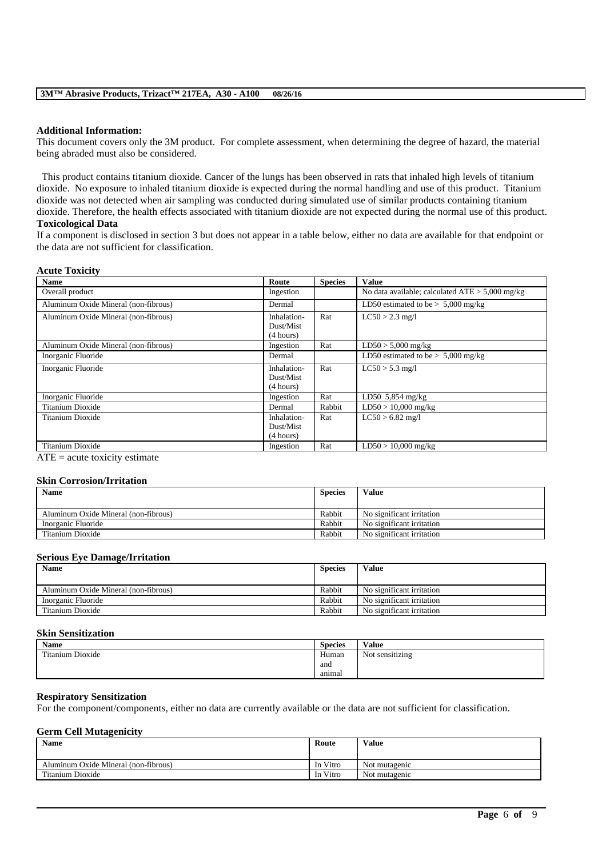### **Additional Information:**

This document covers only the 3M product. For complete assessment, when determining the degree of hazard, the material being abraded must also be considered.

This product contains titanium dioxide. Cancer of the lungs has been observed in rats that inhaled high levels of titanium dioxide. No exposure to inhaled titanium dioxide is expected during the normal handling and use of this product. Titanium dioxide was not detected when air sampling was conducted during simulated use of similar products containing titanium dioxide. Therefore, the health effects associated with titanium dioxide are not expected during the normal use of this product.

#### **Toxicological Data**

If a component is disclosed in section 3 but does not appear in a table below, either no data are available for that endpoint or the data are not sufficient for classification.

#### **Acute Toxicity**

| <b>Name</b>                          | Route                                 | <b>Species</b> | <b>Value</b>                                      |
|--------------------------------------|---------------------------------------|----------------|---------------------------------------------------|
| Overall product                      | Ingestion                             |                | No data available; calculated $ATE > 5,000$ mg/kg |
| Aluminum Oxide Mineral (non-fibrous) | Dermal                                |                | LD50 estimated to be $> 5,000$ mg/kg              |
| Aluminum Oxide Mineral (non-fibrous) | Inhalation-<br>Dust/Mist<br>(4 hours) | Rat            | $LC50 > 2.3$ mg/l                                 |
| Aluminum Oxide Mineral (non-fibrous) | Ingestion                             | Rat            | $LD50 > 5,000$ mg/kg                              |
| Inorganic Fluoride                   | Dermal                                |                | LD50 estimated to be $> 5,000$ mg/kg              |
| Inorganic Fluoride                   | Inhalation-<br>Dust/Mist<br>(4 hours) | Rat            | $LC50 > 5.3$ mg/l                                 |
| Inorganic Fluoride                   | Ingestion                             | Rat            | LD50 $5,854$ mg/kg                                |
| Titanium Dioxide                     | Dermal                                | Rabbit         | $LD50 > 10,000$ mg/kg                             |
| Titanium Dioxide                     | Inhalation-<br>Dust/Mist<br>(4 hours) | Rat            | $LC50 > 6.82$ mg/l                                |
| Titanium Dioxide                     | Ingestion                             | Rat            | $LD50 > 10,000$ mg/kg                             |

 $ATE = acute$  toxicity estimate

#### **Skin Corrosion/Irritation**

| <b>Name</b>                          | <b>Species</b> | Value                     |
|--------------------------------------|----------------|---------------------------|
|                                      |                |                           |
| Aluminum Oxide Mineral (non-fibrous) | Rabbit         | No significant irritation |
| Inorganic Fluoride                   | Rabbit         | No significant irritation |
| Titanium Dioxide                     | Rabbit         | No significant irritation |

#### **Serious Eye Damage/Irritation**

| <b>Name</b>                          | <b>Species</b> | <b>Value</b>              |
|--------------------------------------|----------------|---------------------------|
| Aluminum Oxide Mineral (non-fibrous) | Rabbit         | No significant irritation |
| Inorganic Fluoride                   | Rabbit         | No significant irritation |
| Titanium Dioxide                     | Rabbit         | No significant irritation |

#### **Skin Sensitization**

| <b>Name</b>      | <b>Species</b> | Value           |
|------------------|----------------|-----------------|
| Titanium Dioxide | Human          | Not sensitizing |
|                  | and            |                 |
|                  | anımal         |                 |

#### **Respiratory Sensitization**

For the component/components, either no data are currently available or the data are not sufficient for classification.

#### **Germ Cell Mutagenicity**

| <b>Name</b>                          | Route    | Value         |
|--------------------------------------|----------|---------------|
|                                      |          |               |
| Aluminum Oxide Mineral (non-fibrous) | In Vitro | Not mutagenic |
| Titanium Dioxide                     | In Vitro | Not mutagenic |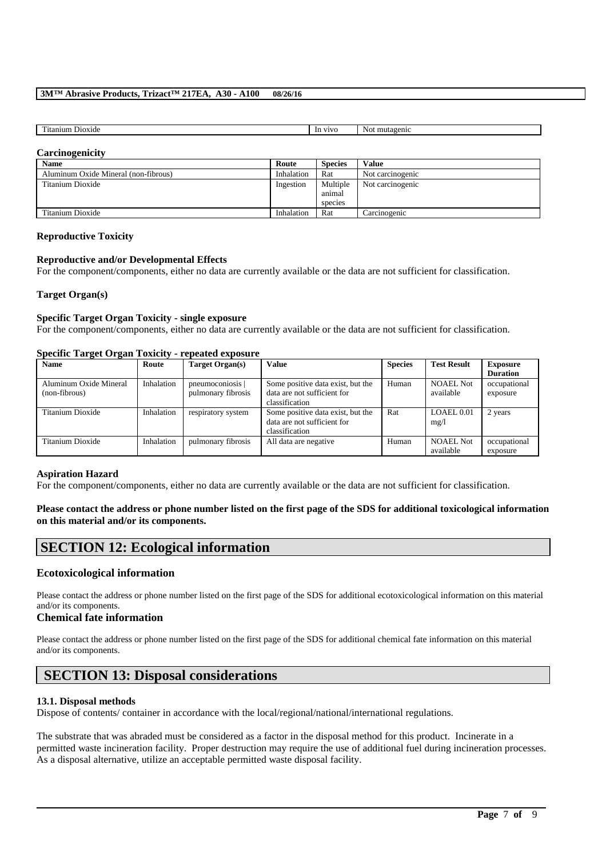### **3M™ Abrasive Products, Trizact™ 217EA, A30 - A100 08/26/16**

| rent for<br>эх1сіє<br>л<br><br> | <b>X74X74</b><br>ın | -<br>ш.<br>mu<br>-1110<br>$\sim$<br>. |
|---------------------------------|---------------------|---------------------------------------|
|                                 |                     |                                       |

#### **Carcinogenicity**

| <b>Name</b>                          | Route      | <b>Species</b> | <b>Value</b>     |
|--------------------------------------|------------|----------------|------------------|
| Aluminum Oxide Mineral (non-fibrous) | Inhalation | Rat            | Not carcinogenic |
| Titanium Dioxide                     | Ingestion  | Multiple       | Not carcinogenic |
|                                      |            | animal         |                  |
|                                      |            | species        |                  |
| Titanium Dioxide                     | Inhalation | Rat            | Carcinogenic     |

#### **Reproductive Toxicity**

#### **Reproductive and/or Developmental Effects**

For the component/components, either no data are currently available or the data are not sufficient for classification.

### **Target Organ(s)**

### **Specific Target Organ Toxicity - single exposure**

For the component/components, either no data are currently available or the data are not sufficient for classification.

#### **Specific Target Organ Toxicity - repeated exposure**

| Name                   | Route      | Target Organ(s)    | <b>Value</b>                      | <b>Species</b> | <b>Test Result</b> | <b>Exposure</b> |
|------------------------|------------|--------------------|-----------------------------------|----------------|--------------------|-----------------|
|                        |            |                    |                                   |                |                    | <b>Duration</b> |
| Aluminum Oxide Mineral | Inhalation | pneumoconiosis     | Some positive data exist, but the | Human          | <b>NOAEL Not</b>   | occupational    |
| (non-fibrous)          |            | pulmonary fibrosis | data are not sufficient for       |                | available          | exposure        |
|                        |            |                    | classification                    |                |                    |                 |
| Titanium Dioxide       | Inhalation | respiratory system | Some positive data exist, but the | Rat            | LOAEL 0.01         | 2 years         |
|                        |            |                    | data are not sufficient for       |                | mg/1               |                 |
|                        |            |                    | classification                    |                |                    |                 |
| Titanium Dioxide       | Inhalation | pulmonary fibrosis | All data are negative             | Human          | <b>NOAEL Not</b>   | occupational    |
|                        |            |                    |                                   |                | available          | exposure        |

#### **Aspiration Hazard**

For the component/components, either no data are currently available or the data are not sufficient for classification.

### **Please contact the address or phone number listed on the first page of the SDS for additional toxicological information on this material and/or its components.**

# **SECTION 12: Ecological information**

### **Ecotoxicological information**

Please contact the address or phone number listed on the first page of the SDS for additional ecotoxicological information on this material and/or its components.

### **Chemical fate information**

Please contact the address or phone number listed on the first page of the SDS for additional chemical fate information on this material and/or its components.

# **SECTION 13: Disposal considerations**

#### **13.1. Disposal methods**

Dispose of contents/ container in accordance with the local/regional/national/international regulations.

The substrate that was abraded must be considered as a factor in the disposal method for this product. Incinerate in a permitted waste incineration facility. Proper destruction may require the use of additional fuel during incineration processes. As a disposal alternative, utilize an acceptable permitted waste disposal facility.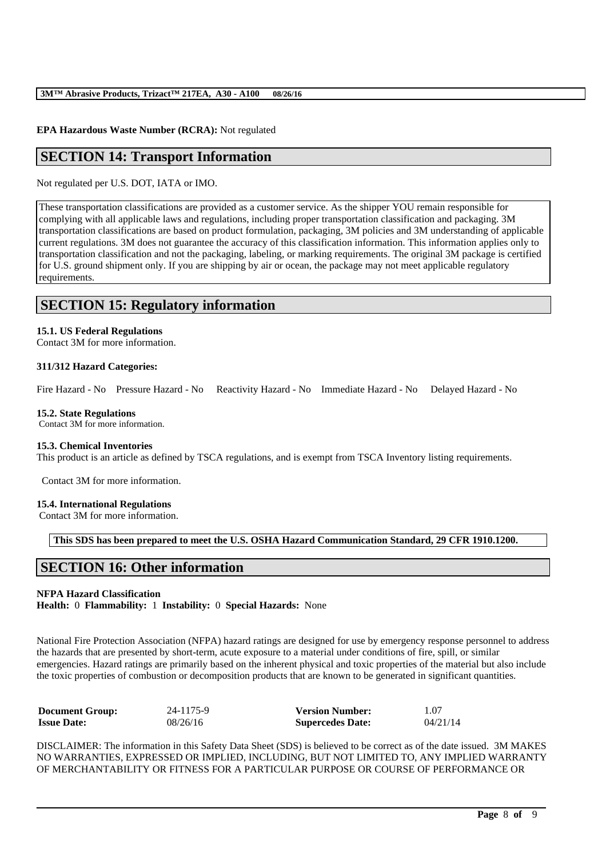### **EPA Hazardous Waste Number (RCRA):** Not regulated

# **SECTION 14: Transport Information**

Not regulated per U.S. DOT, IATA or IMO.

These transportation classifications are provided as a customer service. As the shipper YOU remain responsible for complying with all applicable laws and regulations, including proper transportation classification and packaging. 3M transportation classifications are based on product formulation, packaging, 3M policies and 3M understanding of applicable current regulations. 3M does not guarantee the accuracy of this classification information. This information applies only to transportation classification and not the packaging, labeling, or marking requirements. The original 3M package is certified for U.S. ground shipment only. If you are shipping by air or ocean, the package may not meet applicable regulatory requirements.

# **SECTION 15: Regulatory information**

### **15.1. US Federal Regulations**

Contact 3M for more information.

### **311/312 Hazard Categories:**

Fire Hazard - No Pressure Hazard - No Reactivity Hazard - No Immediate Hazard - No Delayed Hazard - No

#### **15.2. State Regulations**

Contact 3M for more information.

#### **15.3. Chemical Inventories**

This product is an article as defined by TSCA regulations, and is exempt from TSCA Inventory listing requirements.

Contact 3M for more information.

#### **15.4. International Regulations**

Contact 3M for more information.

**This SDS has been prepared to meet the U.S. OSHA Hazard Communication Standard, 29 CFR 1910.1200.**

# **SECTION 16: Other information**

### **NFPA Hazard Classification**

**Health:** 0 **Flammability:** 1 **Instability:** 0 **Special Hazards:** None

National Fire Protection Association (NFPA) hazard ratings are designed for use by emergency response personnel to address the hazards that are presented by short-term, acute exposure to a material under conditions of fire, spill, or similar emergencies. Hazard ratings are primarily based on the inherent physical and toxic properties of the material but also include the toxic properties of combustion or decomposition products that are known to be generated in significant quantities.

| <b>Document Group:</b> | 24-1175-9 | <b>Version Number:</b>  | 1.07     |
|------------------------|-----------|-------------------------|----------|
| <b>Issue Date:</b>     | 08/26/16  | <b>Supercedes Date:</b> | 04/21/14 |

DISCLAIMER: The information in this Safety Data Sheet (SDS) is believed to be correct as of the date issued. 3M MAKES NO WARRANTIES, EXPRESSED OR IMPLIED, INCLUDING, BUT NOT LIMITED TO, ANY IMPLIED WARRANTY OF MERCHANTABILITY OR FITNESS FOR A PARTICULAR PURPOSE OR COURSE OF PERFORMANCE OR